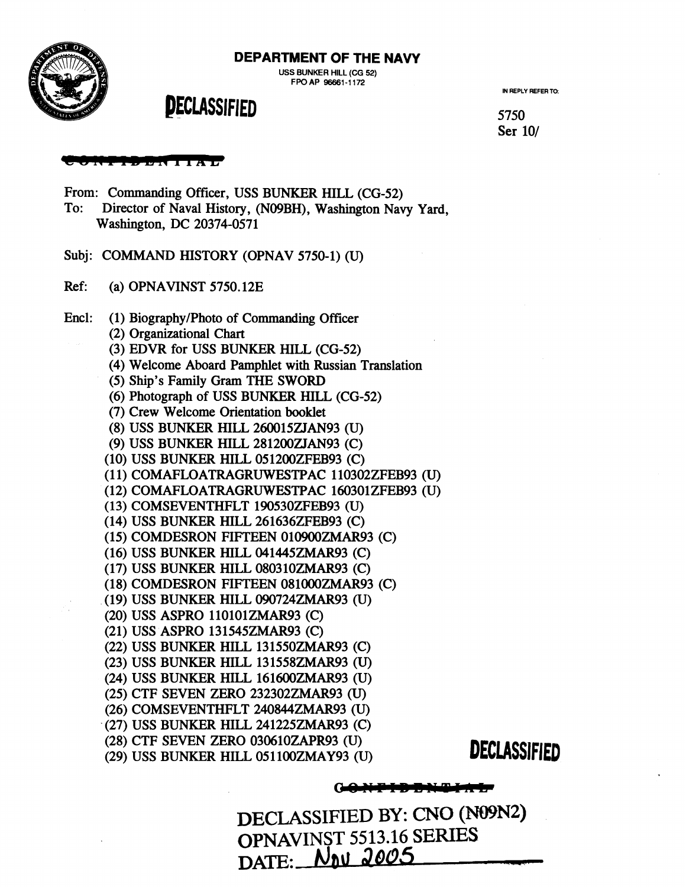**DEPARTMENT OF THE NAVY** 



5750 Ser 10/



#### . . *. . .* . . . . . . . . . .

From: Commanding Officer, USS BUNKER **HILL** (CG-52) To: Director of Naval History, (NO9BH), Washington Navy Yard, Washington, DC 20374-0571

Subj: COMMAND HISTORY (OPNAV 5750-1) (U)

- Ref: (a) OPNAVINST 5750.12E
- Encl: (1) Biography/Photo of Commanding Officer
	- (2) Organizational Chart
	- (3) EDVR for USS BUNKER HILL (CG-52)
	- (4) Welcome Aboard Pamphlet with Russian Translation
	- (5) Ship's Family Gram THE SWORD
	- (6) Photograph of USS BUNKER **HILL** (CG-52)
	- (7) Crew Welcome Orientation booklet
	- (8) USS BUNKER HILL 260015ZJAN93 (U)
	- (9) USS BUNKER HILL 281200ZJAN93 (C)
	- (10) USS BUNKER HILL 051200ZFEB93 (C)
	- (11) COMAFLOATRAGRUWESTPAC 110302ZFEB93 (U)
	- (12) COMAFLOATRAGRUWESTPAC 160301ZFEB93 (U)
	- (1 3) COMSEVENTHFLT 190530ZFEB93 (U)
	- (14) USS BUNKER HILL 261636ZFEB93 (C)
	- (15) COMDESRON FIFTEEN 010900ZMAR93 (C)
	- (16) USS BUNKER HILL 041445ZMAR93 (C)
	- (17) USS BUNKER HILL 080310ZMAR93 (C)
	- (18) COMDESRON FIFTEEN 081000ZMAR93 (C)
	- (19) USS BUNKER HILL 090724ZMAR93 (U)
	- (20) USS ASPRO 110101ZMAR93 (C)
	- (21) USS ASPRO 131545ZMAR93 (C)
	- (22) USS BUNKER HILL 131550ZMAR93 (C)
	- (23) USS BUNKER HILL 13 1558ZMAR93 (U)
	- (24) USS BUNKER HILL 161600ZMAR93 (U)
	- (25) CTF SEVEN ZERO 232302ZMAR93 (U)
	- (26) COMSEVENTHFLT 240844ZMAR93 (U)
	- (27) USS BUNKER HILL 241225ZMAR93 (C)
	- (28) CTF SEVEN ZERO 030610ZAPR93 (U)
	- (29) USS BUNKER HILL 051 100ZMAY93 (U) **DECLASSIFIED**

### **GONFIDDNUM**

DECLASSIFIED BY: CNO **(N09N2)**  OPNAVINST 5513.16 SERIES DATE: **nu 2005**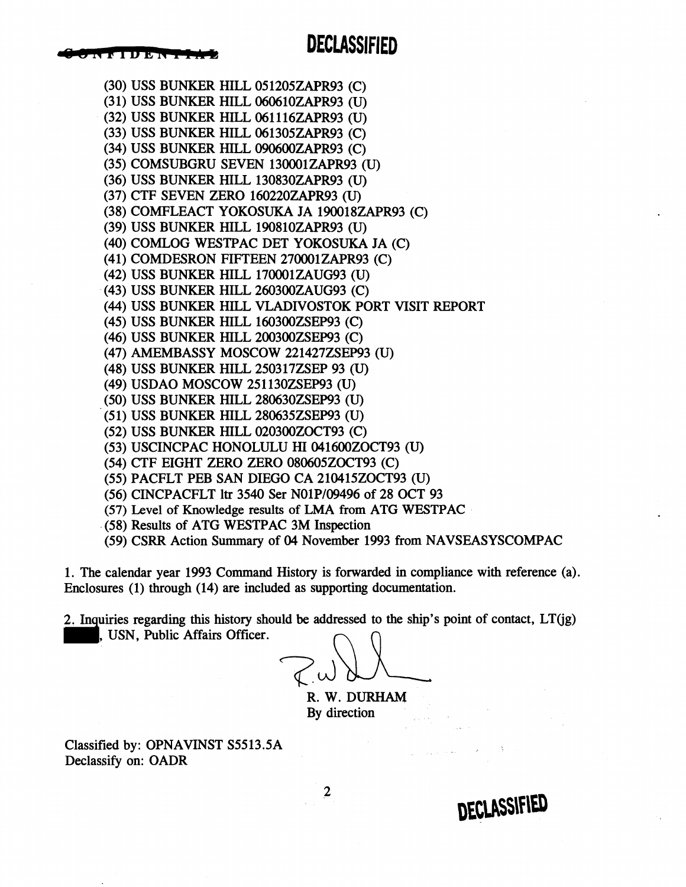# **DECLASSIFIED**

(30) USS BUNKER HILL 05 1205ZAPR93 (C) (31) USS BUNKER HILL 060610ZAPR93 (U) (32) USS BUNKER HILL 061 116ZAPR93 (U) (33) USS BUNKER HILL 061305ZAPR93 (C) (34) USS BUNKER HILL 090600ZAPR93 (C) (35) COMSUBGRU SEVEN 130001ZAPR93 (U) (36) USS BUNKER HILL 130830ZAPR93 (U) (37) CTF SEVEN ZERO 160220ZAPR93 (U) (38) COMFLEACT YOKOSUKA JA 190018ZAPR93 (C) (39) USS BUNKER HILL 190810ZAPR93 (U) (40) COMLOG WESTPAC DET YOKOSUKA JA (C) (4 1) COMDESRON FIFTEEN 270001 ZAPR93 (C) (42) USS BUNKER HILL 170001ZAUG93 (U) (43) USS BUNKER HILL 260300ZAUG93 (C) (44) USS BUNKER HILL VLADIVOSTOK PORT VISIT REPORT (45) USS BUNKER HILL 160300ZSEP93 (C) (46) USS BUNKER HILL 200300ZSEP93 (C) (47) AMEMBASSY MOSCOW 221427ZSEP93 (U) (48) USS BUNKER HILL 250317ZSEP 93 (U) (49) USDAO MOSCOW 251130ZSEP93 (U) (50) USS BUNKER HILL 280630ZSEP93 (U) (5 1) USS BUNKER HILL 280635ZSEP93 (U) (52) USS BUNKER HILL 020300ZOCT93 (C) (53) USCINCPAC HONOLULU HI 041600ZOCT93 (U) (54) CTF EIGHT ZERO ZERO 080605ZOCT93 (C) (55) PACFLT PEB SAN DIEGO CA 210415ZOCT93 (U) (56) CINCPACFLT ltr 3540 Ser NOlPl09496 of 28 OCT 93 (57) Level of Knowledge results of LMA from ATG WESTPAC

- (58) Results of ATG WESTPAC 3M Inspection
- (59) CSRR Action Summary of 04 November 1993 from NAVSEASYSCOMPAC

1. The calendar year 1993 Command History is forwarded in compliance with reference (a). Enclosures (1) through (14) are included as supporting documentation.

2. Inquiries regarding this history should be addressed to the ship's point of contact, LT(jg) , USN, Public Affairs Officer.

 $\boldsymbol{2}$ 

R. W. DURHAM

By direction

Classified by: OPNAVINST S5513.5A Declassify on: OADR

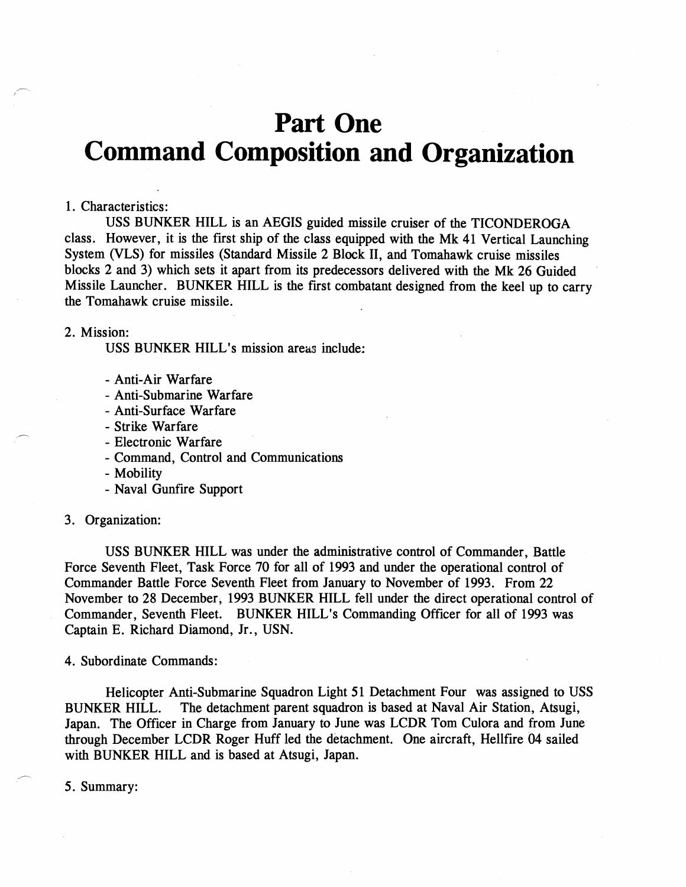# **Part One Command Composition and Organization**

#### **1.** Characteristics:

USS BUNKER HILL is an AEGIS guided missile cruiser of the TICONDEROGA class. However, it is the first ship of the class equipped with the Mk **41** Vertical Launching System (VLS) for missiles (Standard Missile 2 Block 11, and Tomahawk cruise missiles blocks 2 and **3)** which sets it apart from its predecessors delivered with the Mk 26 Guided Missile Launcher. BUNKER HILL is the first combatant designed from the keel up to carry the Tomahawk cruise missile.

#### 2. Mission:

USS BUNKER HILL's mission areas include:

- Anti-Air Warfare
- Anti-Submarine Warfare
- Anti-Surface Warfare
- Strike Warfare
- Electronic Warfare
- Command, Control and Communications
- Mobility
- Naval Gunfire Support

#### **3.** Organization:

USS BUNKER HILL was under the administrative control of Commander, Battle Force Seventh Fleet, Task Force 70 for all of **1993** and under the operational control of Commander Battle Force Seventh Fleet from January to November of **1993.** From 22 November to 28 December, **1993** BUNKER HILL fell under the direct operational control of Commander, Seventh Fleet. BUNKER HILL's Commanding Officer for all of **1993** was Captain E. Richard Diamond, Jr., USN.

**4.** Subordinate Commands:

Helicopter Anti-Submarine Squadron Light **51** Detachment Four was assigned to USS BUNKER HILL. The detachment parent squadron is based at Naval Air Station, Atsugi, Japan. The Officer in Charge from January to June was LCDR Tom Culora and from June through December LCDR Roger Huff led the detachment. One aircraft, Hellfire 04 sailed with BUNKER HILL and is based at Atsugi, Japan.

5. Summary:

r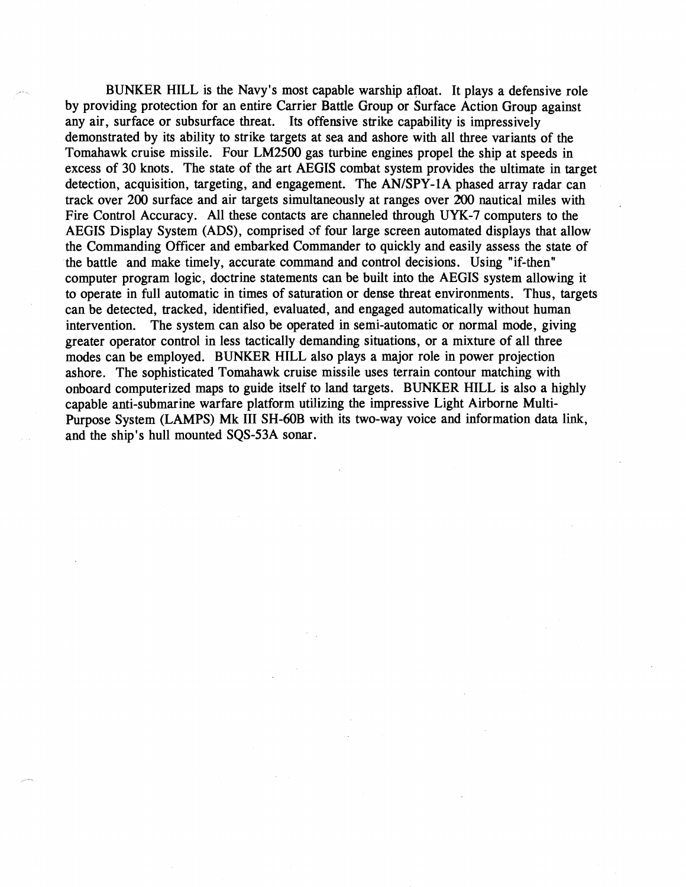BUNKER HILL is the Navy's most capable warship afloat. It plays a defensive role by providing protection for an entire Carrier Battle Group or Surface Action Group against any air, surface or subsurface threat. Its offensive strike capability is impressively demonstrated by its ability to strike targets at sea and ashore with all three variants of the Tomahawk cruise missile. Four LM2500 gas turbine engines propel the ship at speeds in excess of 30 knots. The state of the art AEGIS combat system provides the ultimate in target detection, acquisition, targeting, and engagement. The AN/SPY-1A phased array radar can track over 200 surface and air targets simultaneously at ranges over 200 nautical miles with Fire Control Accuracy. All these contacts are channeled through UYK-7 computers to the AEGIS Display System (ADS), comprised **af** four large screen automated displays that allow the Commanding Officer and embarked Commander to quickly and easily assess the state of the battle and make timely, accurate command and control decisions. Using "if-then" computer program logic, doctrine statements can be built into the AEGIS system allowing it to operate in full automatic in times of saturation or dense threat environments. Thus, targets can be detected, tracked, identified, evaluated, and engaged automatically without human intervention. The system can also be operated in semi-automatic or normal mode, giving greater operator control in less tactically demanding situations, or a mixture of all three modes can be employed. BUNKER HILL also plays a major role in power projection ashore. The sophisticated Tomahawk cruise missile uses terrain contour matching with onboard computerized maps to guide itself to land targets. BUNKER HILL is also a highly capable anti-submarine warfare platform utilizing the impressive Light Airborne Multi-Purpose System (LAMPS) Mk III SH-60B with its two-way voice and information data link, and the ship's hull mounted SQS-53A sonar.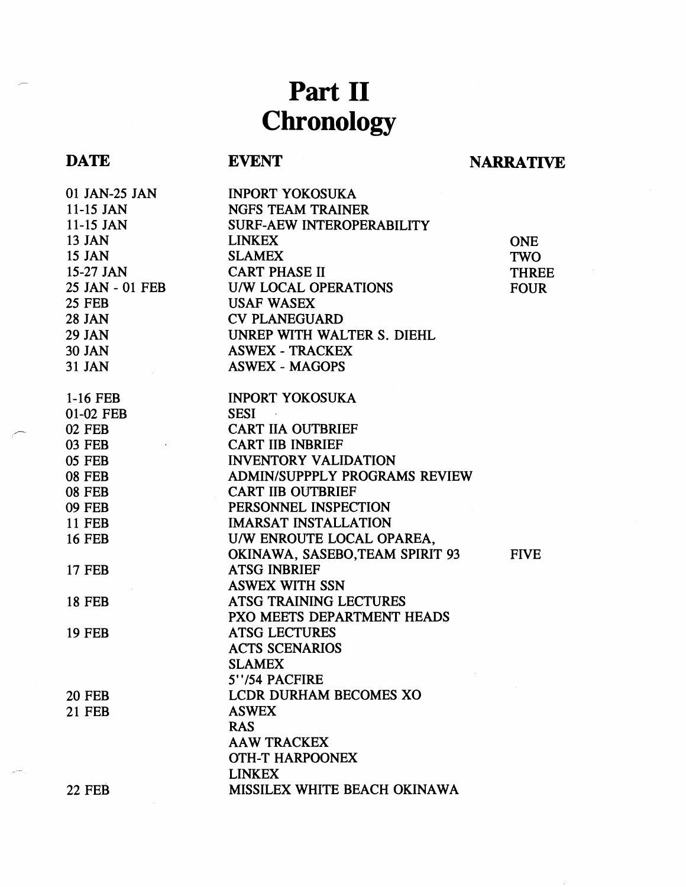# **Part I1 Chronology**

# **DATE**

# **EVENT NARRATIVE**

| 01 JAN-25 JAN   | <b>INPORT YOKOSUKA</b>           |              |
|-----------------|----------------------------------|--------------|
| $11-15$ JAN     | <b>NGFS TEAM TRAINER</b>         |              |
| $11-15$ JAN     | <b>SURF-AEW INTEROPERABILITY</b> |              |
| 13 JAN          | <b>LINKEX</b>                    | <b>ONE</b>   |
| 15 JAN          | <b>SLAMEX</b>                    | <b>TWO</b>   |
| $15-27$ JAN     | <b>CART PHASE II</b>             | <b>THREE</b> |
| 25 JAN - 01 FEB | U/W LOCAL OPERATIONS             | <b>FOUR</b>  |
| <b>25 FEB</b>   | <b>USAF WASEX</b>                |              |
| <b>28 JAN</b>   | <b>CV PLANEGUARD</b>             |              |
| 29 JAN          | UNREP WITH WALTER S. DIEHL       |              |
| <b>30 JAN</b>   | <b>ASWEX - TRACKEX</b>           |              |
| <b>31 JAN</b>   | <b>ASWEX - MAGOPS</b>            |              |
|                 |                                  |              |
| $1-16$ FEB      | <b>INPORT YOKOSUKA</b>           |              |
| 01-02 FEB       | <b>SESI</b>                      |              |
| <b>02 FEB</b>   | <b>CART IIA OUTBRIEF</b>         |              |
| <b>03 FEB</b>   | <b>CART IIB INBRIEF</b>          |              |
| <b>05 FEB</b>   | <b>INVENTORY VALIDATION</b>      |              |
| <b>08 FEB</b>   | ADMIN/SUPPPLY PROGRAMS REVIEW    |              |
| <b>08 FEB</b>   | <b>CART IIB OUTBRIEF</b>         |              |
| <b>09 FEB</b>   | PERSONNEL INSPECTION             |              |
| <b>11 FEB</b>   | <b>IMARSAT INSTALLATION</b>      |              |
| <b>16 FEB</b>   | U/W ENROUTE LOCAL OPAREA,        |              |
|                 | OKINAWA, SASEBO, TEAM SPIRIT 93  | <b>FIVE</b>  |
| <b>17 FEB</b>   | <b>ATSG INBRIEF</b>              |              |
|                 | <b>ASWEX WITH SSN</b>            |              |
| <b>18 FEB</b>   | ATSG TRAINING LECTURES           |              |
|                 | PXO MEETS DEPARTMENT HEADS       |              |
| <b>19 FEB</b>   | <b>ATSG LECTURES</b>             |              |
|                 | <b>ACTS SCENARIOS</b>            |              |
|                 | <b>SLAMEX</b>                    |              |
|                 | 5"/54 PACFIRE                    |              |
| <b>20 FEB</b>   | <b>LCDR DURHAM BECOMES XO</b>    |              |
| <b>21 FEB</b>   | <b>ASWEX</b>                     |              |
|                 | <b>RAS</b>                       |              |
|                 | <b>AAW TRACKEX</b>               |              |
|                 | <b>OTH-T HARPOONEX</b>           |              |
|                 | <b>LINKEX</b>                    |              |
|                 | MISSILEX WHITE BEACH OKINAWA     |              |
| <b>22 FEB</b>   |                                  |              |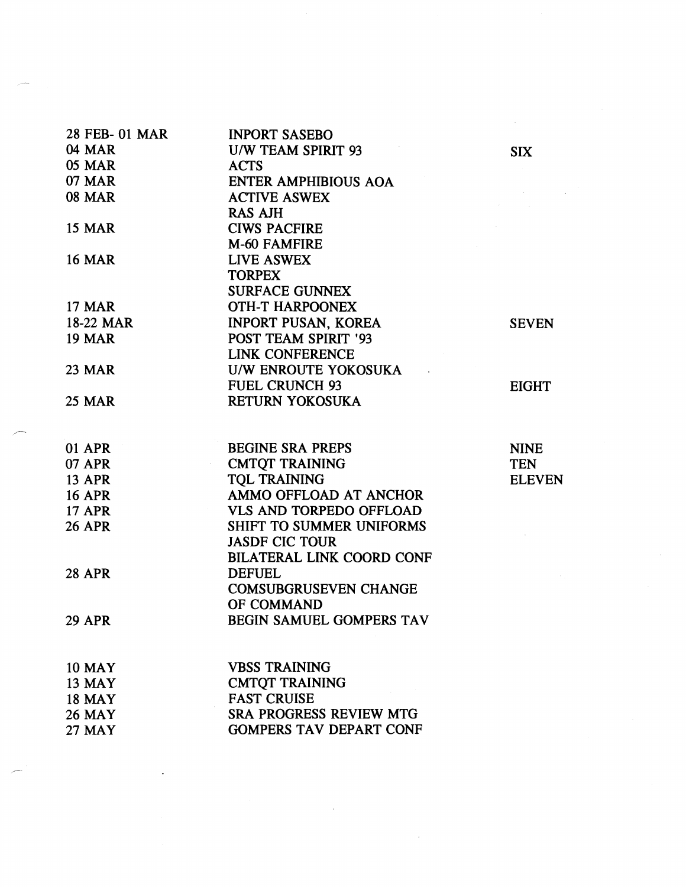| 28 FEB- 01 MAR |                                          |               |
|----------------|------------------------------------------|---------------|
| <b>04 MAR</b>  | <b>INPORT SASEBO</b>                     |               |
| <b>05 MAR</b>  | <b>U/W TEAM SPIRIT 93</b><br><b>ACTS</b> | <b>SIX</b>    |
| <b>07 MAR</b>  | <b>ENTER AMPHIBIOUS AOA</b>              |               |
| <b>08 MAR</b>  |                                          |               |
|                | <b>ACTIVE ASWEX</b>                      |               |
| <b>15 MAR</b>  | <b>RAS AJH</b>                           |               |
|                | <b>CIWS PACFIRE</b><br>M-60 FAMFIRE      |               |
| <b>16 MAR</b>  | LIVE ASWEX                               |               |
|                | <b>TORPEX</b>                            |               |
|                | <b>SURFACE GUNNEX</b>                    |               |
| <b>17 MAR</b>  | <b>OTH-T HARPOONEX</b>                   |               |
| 18-22 MAR      | <b>INPORT PUSAN, KOREA</b>               |               |
| <b>19 MAR</b>  | <b>POST TEAM SPIRIT '93</b>              | <b>SEVEN</b>  |
|                | <b>LINK CONFERENCE</b>                   |               |
| <b>23 MAR</b>  | U/W ENROUTE YOKOSUKA                     |               |
|                | <b>FUEL CRUNCH 93</b>                    |               |
| <b>25 MAR</b>  | <b>RETURN YOKOSUKA</b>                   | <b>EIGHT</b>  |
|                |                                          |               |
|                |                                          |               |
| <b>01 APR</b>  | <b>BEGINE SRA PREPS</b>                  | <b>NINE</b>   |
| <b>07 APR</b>  | <b>CMTQT TRAINING</b>                    | <b>TEN</b>    |
| <b>13 APR</b>  | <b>TOL TRAINING</b>                      | <b>ELEVEN</b> |
| <b>16 APR</b>  | AMMO OFFLOAD AT ANCHOR                   |               |
| <b>17 APR</b>  | <b>VLS AND TORPEDO OFFLOAD</b>           |               |
| <b>26 APR</b>  | <b>SHIFT TO SUMMER UNIFORMS</b>          |               |
|                | <b>JASDF CIC TOUR</b>                    |               |
|                | <b>BILATERAL LINK COORD CONF</b>         |               |
| <b>28 APR</b>  | <b>DEFUEL</b>                            |               |
|                | <b>COMSUBGRUSEVEN CHANGE</b>             |               |
|                | OF COMMAND                               |               |
| <b>29 APR</b>  | <b>BEGIN SAMUEL GOMPERS TAV</b>          |               |
| <b>10 MAY</b>  | <b>VBSS TRAINING</b>                     |               |
| <b>13 MAY</b>  | <b>CMTQT TRAINING</b>                    |               |
| <b>18 MAY</b>  | <b>FAST CRUISE</b>                       |               |
| <b>26 MAY</b>  | <b>SRA PROGRESS REVIEW MTG</b>           |               |
| <b>27 MAY</b>  | <b>GOMPERS TAV DEPART CONF</b>           |               |
|                |                                          |               |

 $\label{eq:2.1} \frac{1}{\sqrt{2}}\int_{\mathbb{R}^3}\frac{1}{\sqrt{2}}\left(\frac{1}{\sqrt{2}}\right)^2\frac{1}{\sqrt{2}}\left(\frac{1}{\sqrt{2}}\right)^2\frac{1}{\sqrt{2}}\left(\frac{1}{\sqrt{2}}\right)^2\frac{1}{\sqrt{2}}\left(\frac{1}{\sqrt{2}}\right)^2.$ 

,--

 $\label{eq:2.1} \mathcal{L}(\mathcal{L}^{\mathcal{L}}_{\mathcal{L}}(\mathcal{L}^{\mathcal{L}}_{\mathcal{L}})) = \mathcal{L}(\mathcal{L}^{\mathcal{L}}_{\mathcal{L}}(\mathcal{L}^{\mathcal{L}}_{\mathcal{L}})) = \mathcal{L}(\mathcal{L}^{\mathcal{L}}_{\mathcal{L}}(\mathcal{L}^{\mathcal{L}}_{\mathcal{L}}))$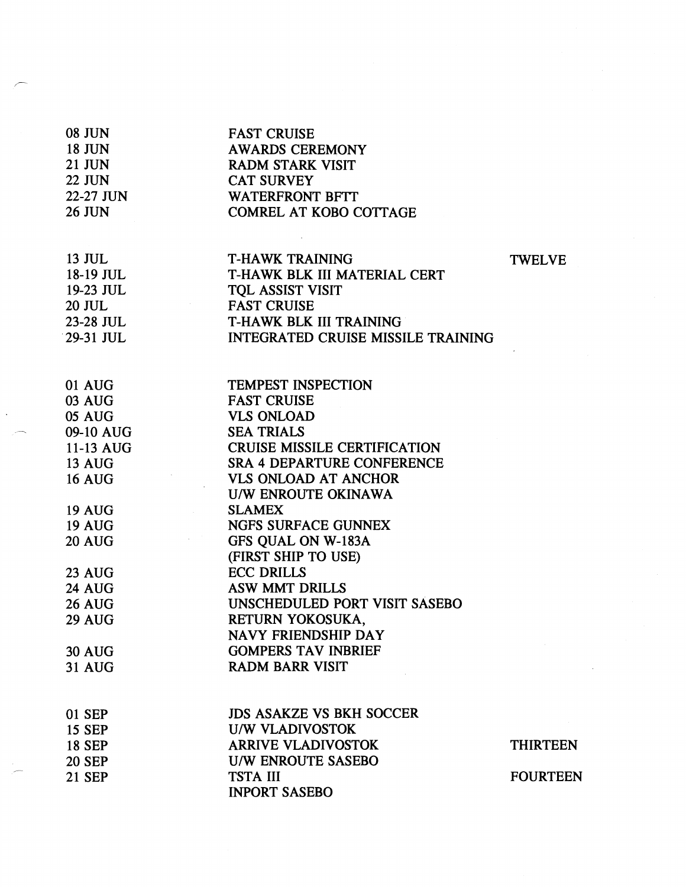| <b>08 JUN</b> | <b>FAST CRUISE</b>                        |                 |
|---------------|-------------------------------------------|-----------------|
| <b>18 JUN</b> | <b>AWARDS CEREMONY</b>                    |                 |
| <b>21 JUN</b> | <b>RADM STARK VISIT</b>                   |                 |
| <b>22 JUN</b> | <b>CAT SURVEY</b>                         |                 |
| 22-27 JUN     | <b>WATERFRONT BFTT</b>                    |                 |
| <b>26 JUN</b> | <b>COMREL AT KOBO COTTAGE</b>             |                 |
|               |                                           |                 |
|               |                                           |                 |
| 13 JUL        | <b>T-HAWK TRAINING</b>                    | <b>TWELVE</b>   |
| 18-19 JUL     | T-HAWK BLK III MATERIAL CERT              |                 |
| 19-23 JUL     | TQL ASSIST VISIT                          |                 |
| 20 JUL        | <b>FAST CRUISE</b>                        |                 |
| 23-28 JUL     | <b>T-HAWK BLK III TRAINING</b>            |                 |
| 29-31 JUL     | <b>INTEGRATED CRUISE MISSILE TRAINING</b> |                 |
|               |                                           |                 |
| 01 AUG        | <b>TEMPEST INSPECTION</b>                 |                 |
| <b>03 AUG</b> | <b>FAST CRUISE</b>                        |                 |
| <b>05 AUG</b> | <b>VLS ONLOAD</b>                         |                 |
| 09-10 AUG     | <b>SEA TRIALS</b>                         |                 |
| 11-13 AUG     | <b>CRUISE MISSILE CERTIFICATION</b>       |                 |
| <b>13 AUG</b> | <b>SRA 4 DEPARTURE CONFERENCE</b>         |                 |
| <b>16 AUG</b> | <b>VLS ONLOAD AT ANCHOR</b>               |                 |
|               | U/W ENROUTE OKINAWA                       |                 |
| <b>19 AUG</b> | <b>SLAMEX</b>                             |                 |
| <b>19 AUG</b> | <b>NGFS SURFACE GUNNEX</b>                |                 |
| <b>20 AUG</b> | GFS QUAL ON W-183A                        |                 |
|               | (FIRST SHIP TO USE)                       |                 |
| <b>23 AUG</b> | <b>ECC DRILLS</b>                         |                 |
| <b>24 AUG</b> | <b>ASW MMT DRILLS</b>                     |                 |
| <b>26 AUG</b> | UNSCHEDULED PORT VISIT SASEBO             |                 |
| 29 AUG        | RETURN YOKOSUKA,                          |                 |
|               | NAVY FRIENDSHIP DAY                       |                 |
| <b>30 AUG</b> | <b>GOMPERS TAV INBRIEF</b>                |                 |
| <b>31 AUG</b> | <b>RADM BARR VISIT</b>                    |                 |
|               |                                           |                 |
|               |                                           |                 |
| 01 SEP        | <b>JDS ASAKZE VS BKH SOCCER</b>           |                 |
| <b>15 SEP</b> | <b>U/W VLADIVOSTOK</b>                    |                 |
| <b>18 SEP</b> | <b>ARRIVE VLADIVOSTOK</b>                 | <b>THIRTEEN</b> |
| <b>20 SEP</b> | <b>U/W ENROUTE SASEBO</b>                 |                 |
| 21 SEP        | <b>TSTA III</b>                           | <b>FOURTEEN</b> |
|               | <b>INPORT SASEBO</b>                      |                 |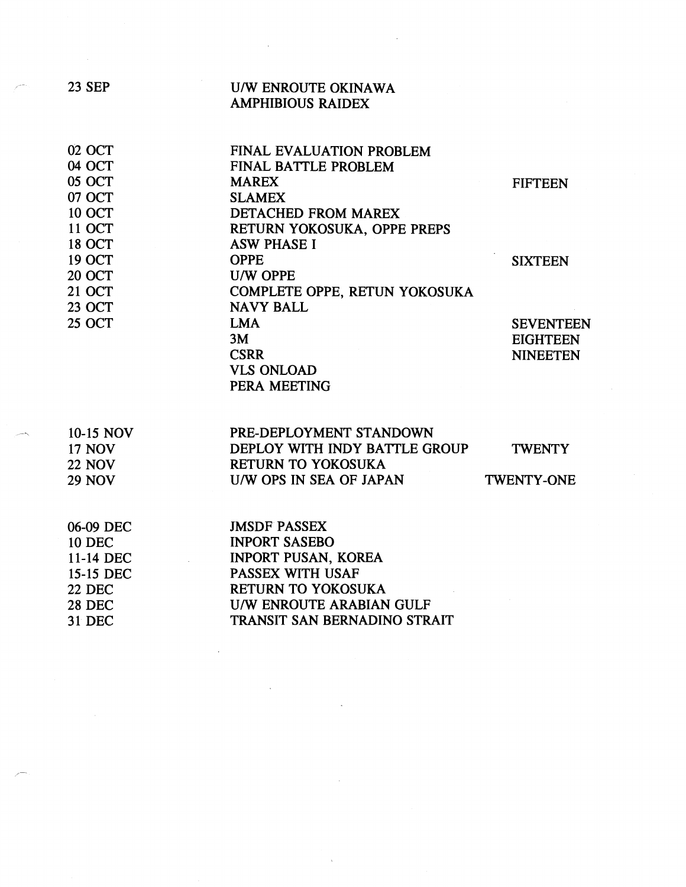| <b>23 SEP</b> | <b>U/W ENROUTE OKINAWA</b>          |                   |
|---------------|-------------------------------------|-------------------|
|               | <b>AMPHIBIOUS RAIDEX</b>            |                   |
| 02 OCT        | FINAL EVALUATION PROBLEM            |                   |
| 04 OCT        | <b>FINAL BATTLE PROBLEM</b>         |                   |
| 05 OCT        | <b>MAREX</b>                        | <b>FIFTEEN</b>    |
| 07 OCT        | <b>SLAMEX</b>                       |                   |
| <b>10 OCT</b> | <b>DETACHED FROM MAREX</b>          |                   |
| <b>11 OCT</b> | RETURN YOKOSUKA, OPPE PREPS         |                   |
| <b>18 OCT</b> | <b>ASW PHASE I</b>                  |                   |
| <b>19 OCT</b> | <b>OPPE</b>                         | <b>SIXTEEN</b>    |
| <b>20 OCT</b> | <b>U/W OPPE</b>                     |                   |
| <b>21 OCT</b> | COMPLETE OPPE, RETUN YOKOSUKA       |                   |
| <b>23 OCT</b> | <b>NAVY BALL</b>                    |                   |
| <b>25 OCT</b> | <b>LMA</b>                          | <b>SEVENTEEN</b>  |
|               | 3M                                  | <b>EIGHTEEN</b>   |
|               | <b>CSRR</b>                         | <b>NINEETEN</b>   |
|               | <b>VLS ONLOAD</b><br>PERA MEETING   |                   |
|               |                                     |                   |
| 10-15 NOV     | PRE-DEPLOYMENT STANDOWN             |                   |
| <b>17 NOV</b> | DEPLOY WITH INDY BATTLE GROUP       | <b>TWENTY</b>     |
| <b>22 NOV</b> | <b>RETURN TO YOKOSUKA</b>           |                   |
| <b>29 NOV</b> | U/W OPS IN SEA OF JAPAN             | <b>TWENTY-ONE</b> |
| 06-09 DEC     | <b>JMSDF PASSEX</b>                 |                   |
| <b>10 DEC</b> | <b>INPORT SASEBO</b>                |                   |
| 11-14 DEC     | <b>INPORT PUSAN, KOREA</b>          |                   |
| 15-15 DEC     | PASSEX WITH USAF                    |                   |
| <b>22 DEC</b> | <b>RETURN TO YOKOSUKA</b>           |                   |
| <b>28 DEC</b> | <b>U/W ENROUTE ARABIAN GULF</b>     |                   |
| <b>31 DEC</b> | <b>TRANSIT SAN BERNADINO STRAIT</b> |                   |
|               |                                     |                   |

 $\label{eq:2.1} \frac{1}{\sqrt{2}}\sum_{i=1}^n\frac{1}{\sqrt{2\pi}}\sum_{i=1}^n\frac{1}{\sqrt{2\pi}}\sum_{i=1}^n\frac{1}{\sqrt{2\pi}}\sum_{i=1}^n\frac{1}{\sqrt{2\pi}}\sum_{i=1}^n\frac{1}{\sqrt{2\pi}}\sum_{i=1}^n\frac{1}{\sqrt{2\pi}}\sum_{i=1}^n\frac{1}{\sqrt{2\pi}}\sum_{i=1}^n\frac{1}{\sqrt{2\pi}}\sum_{i=1}^n\frac{1}{\sqrt{2\pi}}\sum_{i=1}^n\frac{$ 

 $\mathcal{L}^{\text{max}}_{\text{max}}$ 

 $\label{eq:2.1} \frac{1}{\sqrt{2}}\int_{\mathbb{R}^3}\frac{1}{\sqrt{2}}\left(\frac{1}{\sqrt{2}}\right)^2\frac{1}{\sqrt{2}}\left(\frac{1}{\sqrt{2}}\right)^2\frac{1}{\sqrt{2}}\left(\frac{1}{\sqrt{2}}\right)^2.$ 

 $\mathcal{L}^{\text{max}}_{\text{max}}$ 

 $\label{eq:2.1} \frac{1}{\sqrt{2}}\int_{\mathbb{R}^3} \frac{1}{\sqrt{2}}\left(\frac{1}{\sqrt{2}}\right)^2\left(\frac{1}{\sqrt{2}}\right)^2\left(\frac{1}{\sqrt{2}}\right)^2\left(\frac{1}{\sqrt{2}}\right)^2\left(\frac{1}{\sqrt{2}}\right)^2\left(\frac{1}{\sqrt{2}}\right)^2.$ 

 $\sim 10^{-10}$ 

 $\sim$   $\sim$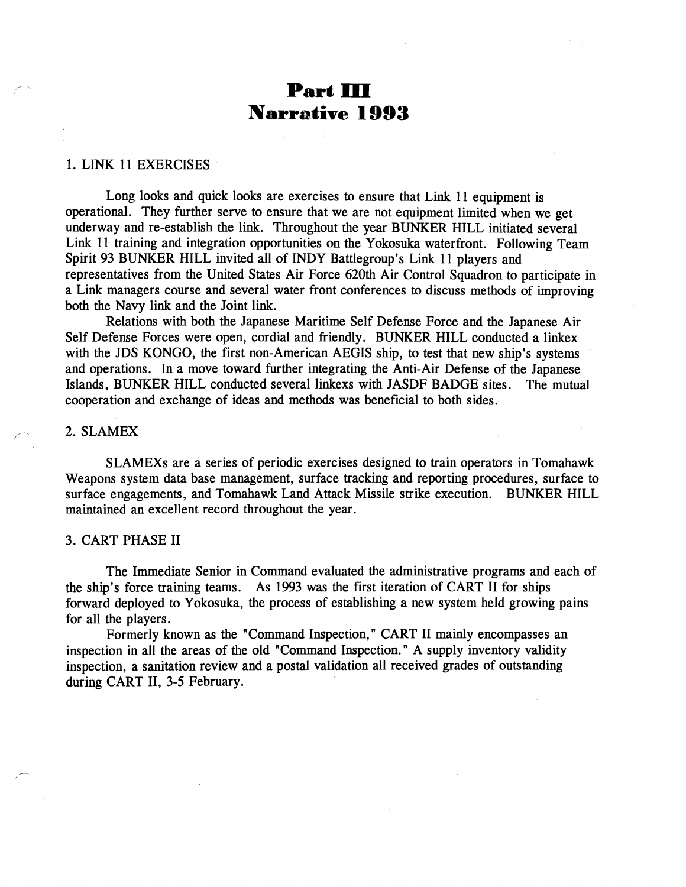# **Part 111 Narrative 1993**

#### **1.** LINK **11** EXERCISES

Long looks and quick looks are exercises to ensure that Link **11** equipment is operational. They further serve to ensure that we are not equipment limited when we get underway and re-establish the link. Throughout the year BUNKER HILL initiated several Link **11** training and integration opportunities on the Yokosuka waterfront. Following Team Spirit **93** BUNKER HILL invited all of INDY Battlegroup's Link **11** players and representatives from the United States Air Force 620th Air Control Squadron to participate in a Link managers course and several water front conferences to discuss methods of improving both the Navy link and the Joint link.

Relations with both the Japanese Maritime Self Defense Force and the Japanese Air Self Defense Forces were open, cordial and friendly. BUNKER HILL conducted a linkex with the JDS KONGO, the first non-American AEGIS ship, to test that new ship's systems and operations. In a move toward further integrating the Anti-Air Defense of the Japanese Islands, BUNKER HILL conducted several linkexs with JASDF BADGE sites. The mutual cooperation and exchange of ideas and methods was beneficial to both sides.

#### 2. SLAMEX

SLAMEXs are a series of periodic exercises designed to train operators in Tomahawk Weapons system data base management, surface tracking and reporting procedures, surface to surface engagements, and Tomahawk Land Attack Missile strike execution. BUNKER HILL maintained an excellent record throughout the year.

#### **3.** CART PHASE I1

The Immediate Senior in Command evaluated the administrative programs and each of the ship's force training teams. As **1993** was the first iteration of CART I1 for ships forward deployed to Yokosuka, the process of establishing a new system held growing pains for all the players.

Formerly known as the "Command Inspection," CART I1 mainly encompasses an inspection in all the areas of the old "Command Inspection." A supply inventory validity inspection, a sanitation review and a postal validation all received grades of outstanding during CART 11, **3-5** February.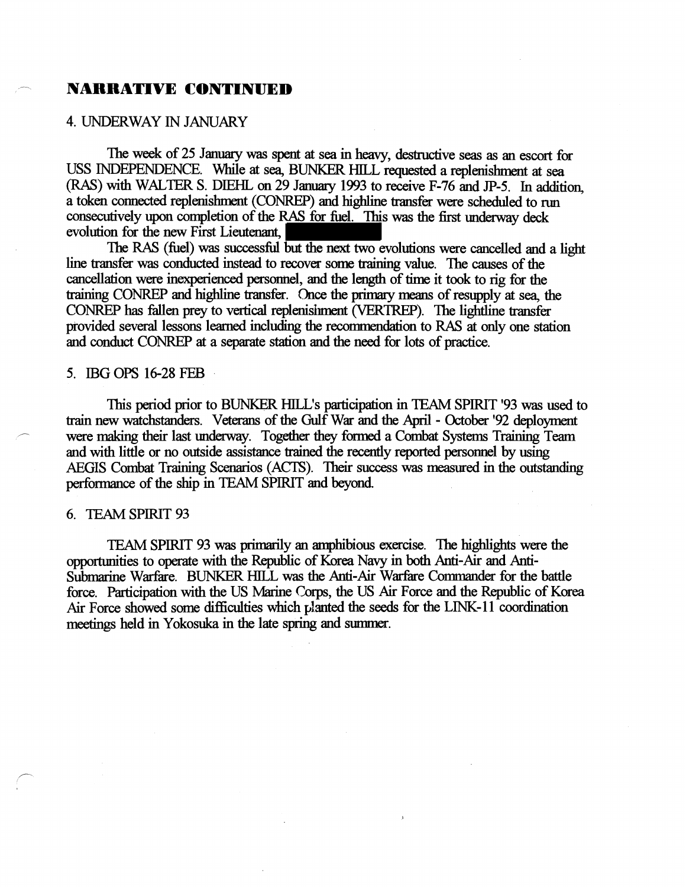# - **NARRATIVE CONTINUED**

#### 4. UNDERWAY IN JANUARY

The week of 25 January was spent at sea in heavy, destructive seas as an escort for USS INDEPENDENCE. While at sea, BUNKER HILL requested a replenishment at sea (RAS) **with** WALTER S. DIEHL on 29 Janumy 1993 to receive F-76 and JF-5. In addition, a token connected replenishment (CONREP) and highline transfer were scheduled to run consecutively upon completion of the RAS for fuel. This was the first underway deck evolution for the new First Lieutenant,

The RAS (fuel) was successful but the next two evolutions were cancelled and a light line transfer was conducted **instead** to recover some training value. The causes of the cancellation were inexperienced persmel, and the length of time it took to **rig** for the training CONREP and highline transfer. Once the primary means of resupply at sea, the CONREP has fallen prey to vertical replenisiment (VERTREP). The lightline transfer provided several lessons learned including the recommendation to RAS at only one station and conduct CONREP at a separate station and the need for lots of **practice.** 

#### 5. IBG **OPS** 16-28 FEB

This period prior to BUNKER HILL's participation in TEAM SPIRIT '93 was used to train new watchstanders. Veterans of the Gulf War and the April - October '92 deployment<br>were making their last underway. Together they formed a Combat Systems Training Team and with little or no outside assistance **trained** the recently reported personnel by using AEGIS Combat Training Scenarios (ACTS). Their success was measured in the outstandug performance of the ship in TEAM SPIRIT and beyond

#### 6. TEAM SPIRIT 93

TEAM SPIRIT 93 was primarily an amphibious exercise. The highlights were the opportunities to operate with the Republic of Korea Navy in both Anti-Air and Anti-Submarine Warfare. BUNKER HILL was the Anti-Air Warfare Commander for the battle force. Participation with the US Marine Corps, the US Air Force and the Republic of Korea Air Force showed some difficulties which planted the seeds for the LINK-11 coordination meetings held in Yokosuka in the late spring and summer.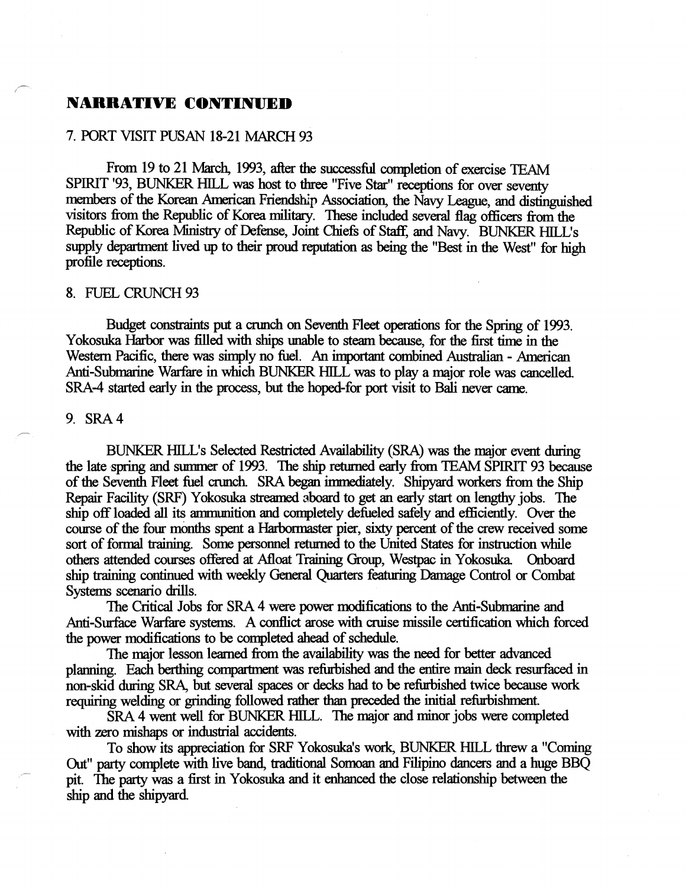# **NARRATIVE CONTINUED**

# 7. PORT VISIT PUSAN 18-21 MARCH 93

From 19 to 21 March, 1993, after the successful completion of exercise TEAM SPIRIT '93, BUNKER HILL was host to three "Five Star" receptions for over seventy members of the Korean American Friendship Association, the Navy League, and distinguished visitors fiom the Republic of Korea military. These included several flag officers fiom the Republic of Korea Ministry of Defense, Joint Chiefs of Staff, and Navy. BUNKER HILL's supply department lived up to their proud reputation as being the "Best in the West" for high profile receptions.

#### 8. FUEL CRUNCH 93

Budget constraints put a crunch on Seventh Fleet operations for the Spring of 1993. Yokosuka Harbor was filled with ships unable to steam because, for the first time in the Western Pacific, there was simply no fuel. An important combined Australian - American Anti-Submarine Warfare in which BUNKER HILL was to play a major role was cancelled. SRA-4 started early in the process, but the hoped-for port visit to **Bali** never came.

#### 9. SRA4

-

 i

> BUNKER HILL's Selected Restricted Availability (SRA) was the major event during the late spring and summer of 1993. The ship returned early fiom TEAM SPIRIT 93 because of the Seventh Fleet fuel crunch. SRA began immediately. Shipyard workers from the Ship Repair Facility (SRF') Yokosuka streamed aboard to get an early start on lengthy jobs. The ship off loaded all its ammunition and completely defueled safely and efficiently. Over the course of the four months spent a Harbor master pier, sixty percent of the crew received some sort of formal training. Some personnel returned to the United States for instruction while others **attended** courses offered at **Afloat** Training Group, Westpac in Yokosuka Onboard ship training continued with weekly General Quarters featuring Damage Control or Combat systems scenario drills.

> The **Critical** Jobs for SRA 4 were power modifications to the Anti-Submarine and Anti-Surface Warfare systems. A conflict arose with cruise missile certification which forced the power modifications to be completed ahead of schedule.

> The major lesson learned fiom the availability was the **need** for better advanced planning. Each berthing compartment was refurbished and the entire main deck resurfaced in non-skid duting SRA, but several spaces or decks had to be refurbished twice because work requiring welding or grinding followed rather than preceded the initial refurbishment.

SRA 4 went well for BUNKER HILL. The major and minor jobs were completed with zero mishaps or industrial accidents.

To show its appreciation for SRF Yokosuka's work, BUNKER HILL threw a "Coming - Out" party complete with live band, traditional Somoan and Filipino dancers and a huge BBQ pit. The party was a first in Yokosuka and it enhanced the close relationship between the ship and the shipyard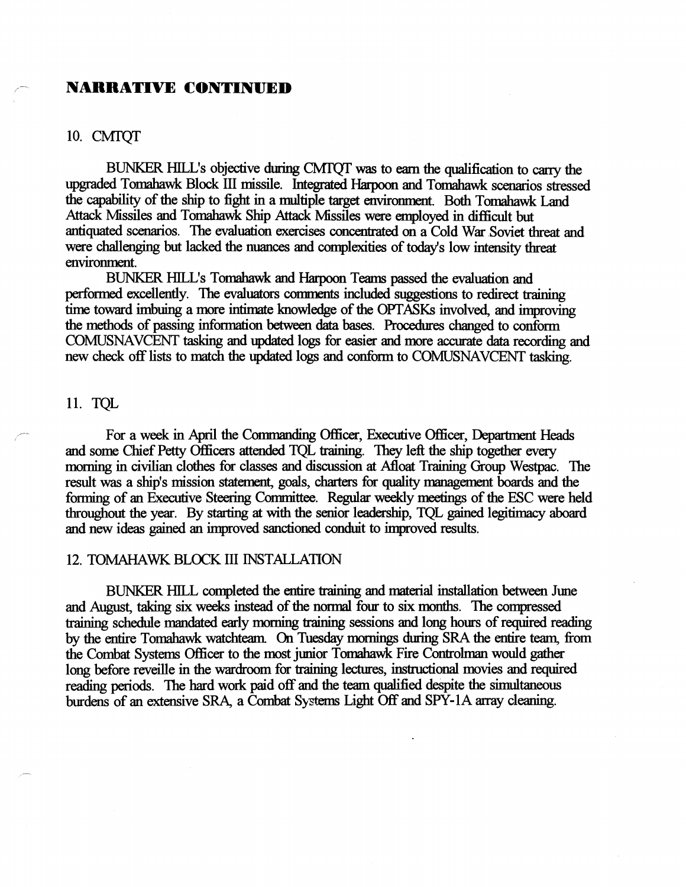# - **NARRATIVE CONTINUED**

#### 10. CMTQT

BUNKER HILL's objective during CMTQT was to earn the qualification to carry the upgraded Tomahawk Block III missile. Integrated Harpoon and Tomahawk scenarios stressed the capability of the ship to fight in a multiple target environment. Both Tomahawk Land Attack Missiles and Tomahawk Ship Attack Missiles were employed in difficult but antiquated scenarios. The evaluation exercises concentrated on a Cold War Soviet threat and were challenging but lacked the nuances and complexities of today's low intensity threat environment.

BUNKER HILL'S Tomahawk and Harpom Teams passed the evaluation and performed excellently. The evaluators comments included suggestions to redirect training time toward imbuing a more intimate knowledge of the OPTASKs involved, and improving the methods of passing infomation between data bases. Procedwes changed to conform COMUSNAVCENT tasking and updated logs for easier and more accurate data recording and new check off lists to match the updated logs and conform to COMUSNAVCENT tasking.

#### 11. TQL

For a week in April the Commanding Officer, Executive Officer, Department Heads and some Chief **Petty** Officers attended TQL training. They left the ship together every morning in civilian clothes for classes and discussion at Afloat Training Group Westpac, The result was a ship's mission statement, goals, charters for quality management boards and the forming of an Executive Steering Committee. Regular weekly meetings of the ESC were held throughout the year. By **starting at** with the senior leadership, TQL gained legitimacy aboard and new ideas gained an improved sanctioned conduit to improved results.

#### 12, TOMAHAWK BLOCK I11 INSTALLATION

BUNKER HILL completed the entire training and material installation between June and August, taking six weeks instead of the normal four to six months. The compressed training schedule mandated early *morning* training sessions and long hours of required reading by the entire Tomahawk watchteam. On Tuesday mornings during SRA the entire team, from the Combat Systems Officer to the most junior Tomahawk Fire Controlman would gather long before reveille in the **wardroom** for trainiug lectures, instructional movies and required reading periods. The hard work paid off and the team qualified despite the simultaneous burdens of an extensive SRA, a Combat Systems Light Off and SPY-1A array cleaning.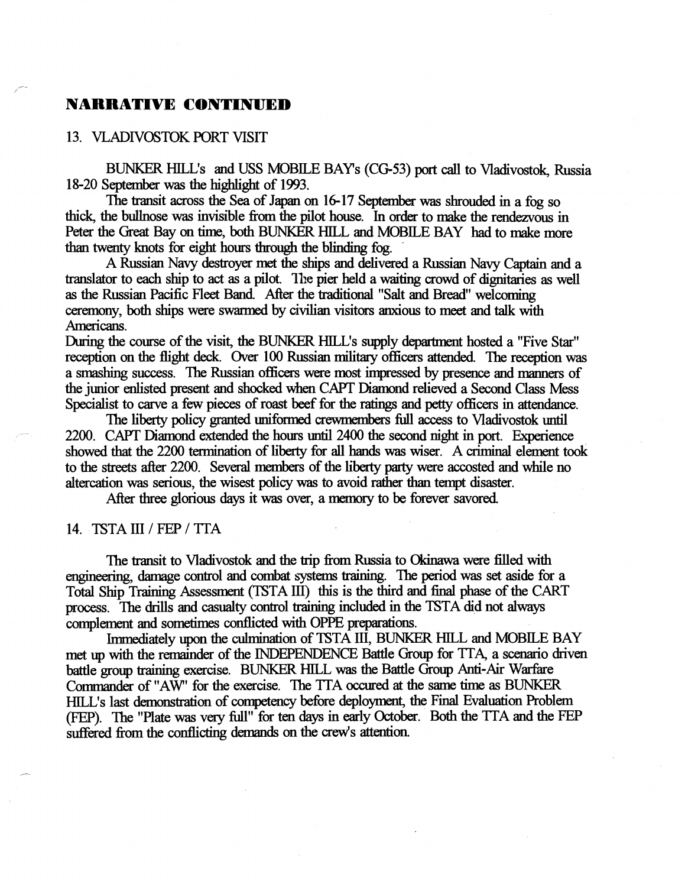## **NARRATIVE CONTINUED**

## 13. VLADIVOSTOK FORT VISIT

/

BUNKER HILL's and USS MOBILE BAY s (CG53) **pat** call to Vladivostok, Russia 18-20 September was the highlight of 1993.

The transit across the Sea of Japan on 16-17 September was shrouded in a fog so thick, the bullnose was invisible from the pilot house. In *order* to make the rendezvous in Peter the Great Bay on time, both BUNKER HILL and MOBILE BAY had to make more than twenty knots far **eight** hours through the blinding fog.

A Russian Navy destroyer **met** the ships and delivered a Russian Navy Captam and a translator to each ship to act as a pilot. The pier held a waiting crowd of dignitaries as well as the Russian Pacific Fleet Band. After the traditional "Salt and Bread" welcoming ceremony, both ships were swarmed by civilian visitors anxious to **meet** and **talk** with *Americans.* 

Duting the course of the visit, the BUNKER HILL's supply **department** hosted a "Five Star" reception on the flight deck. Over 100 Russian military officers attended. The reception was a *smudmg* success. The Russian officers were most impressed by presence and manners of the junior enlisted present and shocked when CAPT Diamond relieved a Second Class Mess Specialist to carve a few pieces of roast beef for the **ratings** and **petty** officers in **attendance.** 

The liberty policy granted uniformed crewmembers full access to Vladivostok until 2200. CAPT Diamond extended the hours until 2400 the second night in port. Experience showed that the 2200 termination of liberty for all hands was wiser. A criminal element took to the streets *after* 2200. Several **members** of the libaty **party** were accosted and while no altercation was serious, the wisest policy was to avoid rather **than** tempt disaster.

After three glorious days it was over, a memory to be forever savored.

#### 14. TSTA III / FEP / TTA

The transit to Vladivostok and the trip from Russia to Okinawa were filled with engineering, damage control and combat systems training. The period was set aside for a Total Ship Training Assessment (TSTA 111) this is the third and final phase of the CART process. The drills and casualty control training included in the TSTA did not always complement and sometimes conflicted with OPPE preparations.

Immediately upon the culmination of TSTA III, BUNKER HILL and MOBILE BAY met up with the remainder of the INDEPENDENCE Battle Group for TTA, a scenario driven battle group training exercise. BUNKER HILL was the Battle Group Anti-Air Warfare **Commander** of "AW' for the exercise. The TTA occured at the **same time** as BUNKER HILL's last demonstration of competency before deployment, the Final Evaluation Problem (FEP). The "Plate was very full" for ten **days** in early October. Both the TTA and the FEP suffered from the conflicting **demands** on the crew's attention.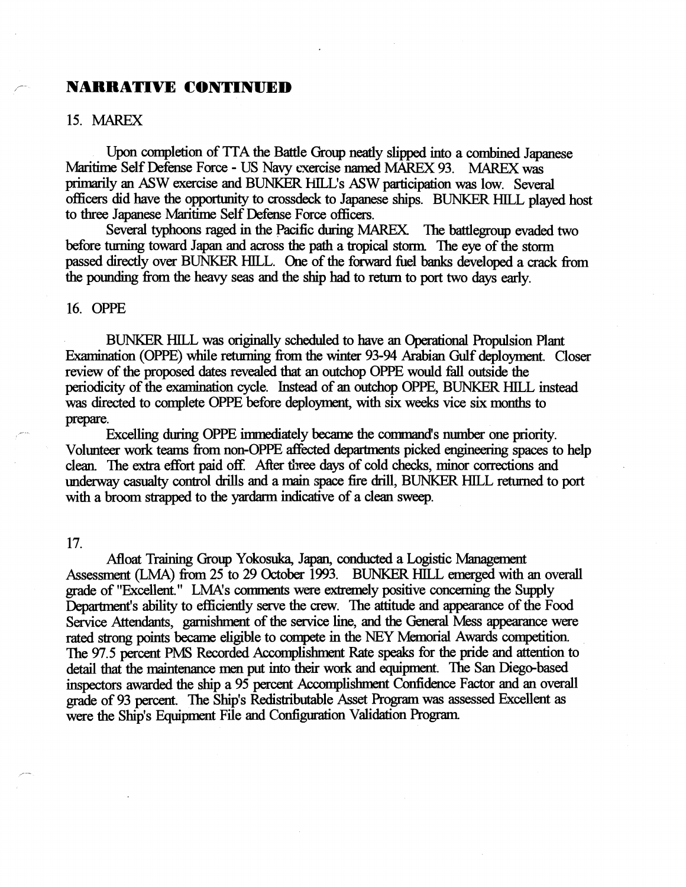## **r NARRATIVE CONTINUED**

#### 15. MAREX

Upon completion of TTA the Battle Group neatly slipped into a combined Japanese Maritime Self Defense Force - US Navy txercise **named MAREX** 93. MAREX was primarily an ASW exercise and BUNKER HILL's ASW participation was low. Several officers did have the opportunity to crossdeck to Japanese ships. BUNKER HILL played host to three Japanese Maritime Self Defense Force officers.

Several typhoons raged in the Pacific during MAREX. The battlegroup evaded two before turning toward Japan and across the **path** a tropical storm. The eye of the storm passed directly over BUNKER HILL. One of the forward fuel banks developed a crack fiom the poundmg fiom the heavy seas and the ship had to return to port two **days** early.

#### 16. OPPE

BUNKER HILL was originally scheduled to have an **Operational** Propulsion Plant Examination (OPPE) while returning from the winter 93-94 Arabian Gulf deployment. Closer review of the proposed dates revealed that an outchop OPPE would fall outside the periodicity of the examination cycle. **Instead** of an outchop OPPE, BUNKER HILL instead was directed to complete OPPE before deployment, with six weeks vice six months to prepare.<br>Excelling during OPPE immediately became the command's number one priority.

Volunteer work teams from non-OPPE affected departments picked engineering spaces to help clean. The extra effort paid off. After three days of cold checks, minor corrections and underway casualty control drills and a main **3pace** fire chill, BUNKER HILL returned to port with a broom strapped to the **yardarm** indicative of a clean **sweep.** 

#### 17.

Afloat Training Group Yokosuka, Japan, conducted a Logistic Management Assessment (LMA) fiom 25 to 29 October 1993. BUNKER HILL emerged with an overall Arioat Training Group Tokosuka, Japan, conducted a Logistic Management<br>Assessment (LMA) from 25 to 29 October 1993. BUNKER HILL emerged with an over<br>grade of "Excellent." LMA's comments were extremely positive concerning t Department's ability to efficiently serve the crew. The attitude and appearance of the Food Service Attendants, garnishment of the service line, and the General Mess appearance were rated strong points became eligible to compete in the NEY Memorial Awards competition. The 97.5 percent PMS Recorded Accomplishment Rate speaks for the pride and attention to detail that the maintenance men put into their work and equipment. The San Diego-based inspectors awarded the ship a 95 **percent** Acumplishtnent Confidence Factor and an overall grade of 93 percent. The Ship's Redistributable Asset Program was assessed Excellent as were the Ship's Equipment File and Configuration Validation Program.